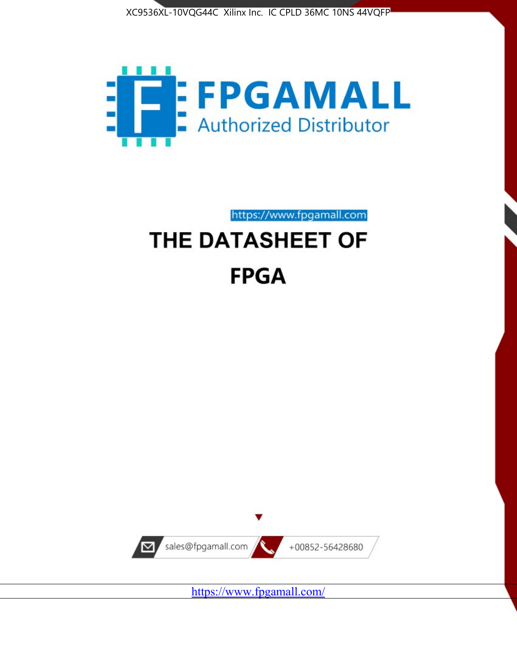



https://www.fpgamall.com

## THE DATASHEET OF **FPGA**



https://www.fpgamall.com/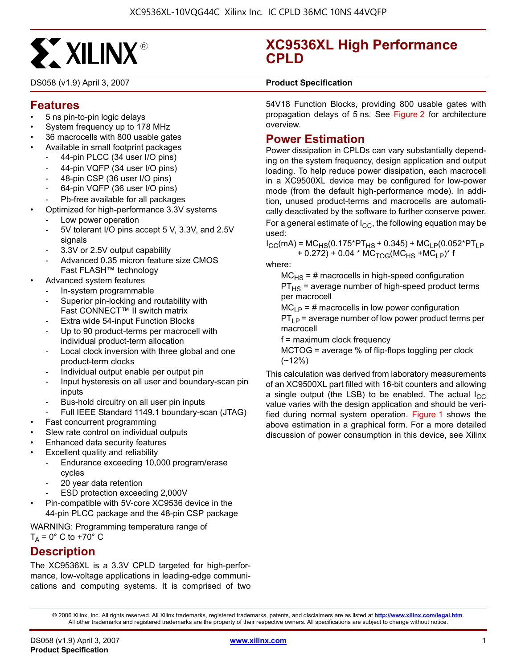# **EXALINX®**

DS058 (v1.9) April 3, 2007 **0 0 Product Specification**

#### **Features**

- 5 ns pin-to-pin logic delays
- System frequency up to 178 MHz
- 36 macrocells with 800 usable gates
- Available in small footprint packages
	- 44-pin PLCC (34 user I/O pins)
	- 44-pin VQFP (34 user I/O pins)
	- 48-pin CSP (36 user I/O pins)
	- 64-pin VQFP (36 user I/O pins)
	- Pb-free available for all packages
	- Optimized for high-performance 3.3V systems
		- Low power operation
		- 5V tolerant I/O pins accept 5 V, 3.3V, and 2.5V signals
		- 3.3V or 2.5V output capability
		- Advanced 0.35 micron feature size CMOS Fast FLASH™ technology
- Advanced system features
	- In-system programmable
		- Superior pin-locking and routability with Fast CONNECT™ II switch matrix
		- Extra wide 54-input Function Blocks
		- Up to 90 product-terms per macrocell with individual product-term allocation
		- Local clock inversion with three global and one product-term clocks
		- Individual output enable per output pin
		- Input hysteresis on all user and boundary-scan pin inputs
		- Bus-hold circuitry on all user pin inputs
	- Full IEEE Standard 1149.1 boundary-scan (JTAG)
- Fast concurrent programming
- Slew rate control on individual outputs
- Enhanced data security features
- Excellent quality and reliability
	- Endurance exceeding 10,000 program/erase cycles
	- 20 year data retention
	- ESD protection exceeding 2,000V
- Pin-compatible with 5V-core XC9536 device in the 44-pin PLCC package and the 48-pin CSP package

WARNING: Programming temperature range of  $T_A = 0^\circ$  C to +70° C

### **Description**

The XC9536XL is a 3.3V CPLD targeted for high-performance, low-voltage applications in leading-edge communications and computing systems. It is comprised of two

### **XC9536XL High Performance CPLD**

54V18 Function Blocks, providing 800 usable gates with propagation delays of 5 ns. See Figure 2 for architecture overview.

#### **Power Estimation**

Power dissipation in CPLDs can vary substantially depending on the system frequency, design application and output loading. To help reduce power dissipation, each macrocell in a XC9500XL device may be configured for low-power mode (from the default high-performance mode). In addition, unused product-terms and macrocells are automatically deactivated by the software to further conserve power. For a general estimate of  $I_{CC}$ , the following equation may be used:

 $I_{CC}(mA) = MC_{HS}(0.175*PT_{HS} + 0.345) + MC_{LP}(0.052*PT_{LP}$ + 0.272) + 0.04 \*  $\overline{MC}_{TOG}$ ( $\overline{MC}_{HS}$  + $\overline{MC}_{LP}$ )\* f

where:

 $MC_{HS}$  = # macrocells in high-speed configuration  $PT_{HS}$  = average number of high-speed product terms per macrocell

 $MC<sub>LP</sub> = # macrocells in low power configuration$ 

 $PT_{LP}$  = average number of low power product terms per macrocell

f = maximum clock frequency

MCTOG = average % of flip-flops toggling per clock (~12%)

This calculation was derived from laboratory measurements of an XC9500XL part filled with 16-bit counters and allowing a single output (the LSB) to be enabled. The actual  $I_{CC}$ value varies with the design application and should be verified during normal system operation. Figure 1 shows the above estimation in a graphical form. For a more detailed discussion of power consumption in this device, see Xilinx

<sup>© 2006</sup> Xilinx, Inc. All rights reserved. All Xilinx trademarks, registered trademarks, patents, and disclaimers are as listed at **<http://www.xilinx.com/legal.htm>**. All other trademarks and registered trademarks are the property of their respective owners. All specifications are subject to change without notice.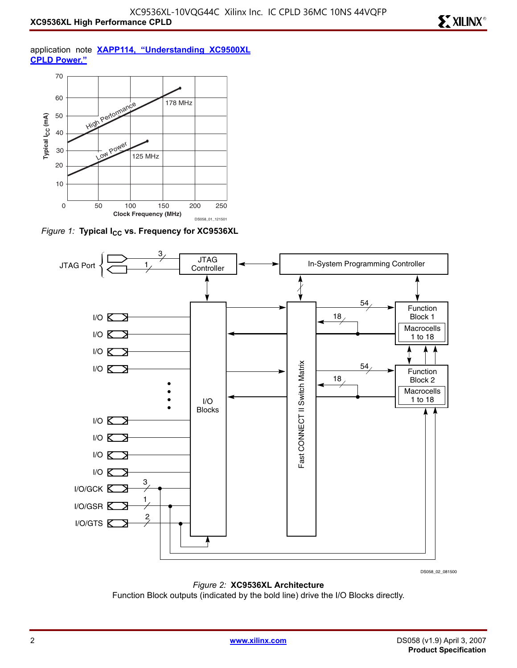application note **[XAPP114, "Understanding XC9500XL](http://direct.xilinx.com/bvdocs/appnotes/xapp114.pdf) [CPLD Power."](http://direct.xilinx.com/bvdocs/appnotes/xapp114.pdf)**



*Figure 1:* Typical I<sub>CC</sub> vs. Frequency for XC9536XL



DS058\_02\_081500

*Figure 2:* **XC9536XL Architecture**  Function Block outputs (indicated by the bold line) drive the I/O Blocks directly.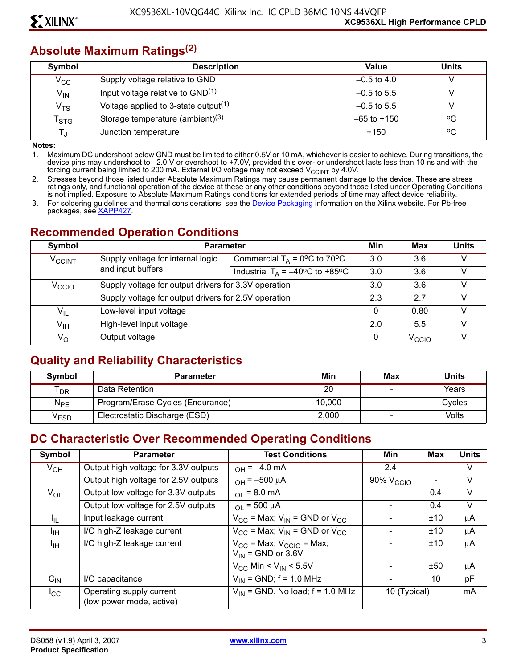#### **Absolute Maximum Ratings(2)**

| Symbol                      | <b>Description</b>                               | Value           | <b>Units</b> |
|-----------------------------|--------------------------------------------------|-----------------|--------------|
| $V_{\rm CC}$                | Supply voltage relative to GND                   | $-0.5$ to 4.0   |              |
| $V_{\mathsf{IN}}$           | Input voltage relative to GND <sup>(1)</sup>     | $-0.5$ to 5.5   |              |
| $\rm V_{TS}$                | Voltage applied to 3-state output <sup>(1)</sup> | $-0.5$ to 5.5   |              |
| $\mathsf{T}_{\textsf{STG}}$ | Storage temperature (ambient) $(3)$              | $-65$ to $+150$ | °Ω           |
|                             | Junction temperature                             | $+150$          | °C           |

**Notes:** 

1. Maximum DC undershoot below GND must be limited to either 0.5V or 10 mA, whichever is easier to achieve. During transitions, the device pins may undershoot to –2.0 V or overshoot to +7.0V, provided this over- or undershoot lasts less than 10 ns and with the forcing current being limited to 200 mA. External I/O voltage may not exceed V $_{\rm CCINT}$  by 4.0V.

2. Stresses beyond those listed under Absolute Maximum Ratings may cause permanent damage to the device. These are stress ratings only, and functional operation of the device at these or any other conditions beyond those listed under Operating Conditions is not implied. Exposure to Absolute Maximum Ratings conditions for extended periods of time may affect device reliability.

3. For soldering guidelines and thermal considerations, see the [Device Packaging](http://www.xilinx.com/xlnx/xweb/xil_publications_index.jsp?category=Package+Drawings) information on the Xilinx website. For Pb-free packages, see [XAPP427](http://direct.xilinx.com/bvdocs/appnotes/xapp427.pdf).

#### **Recommended Operation Conditions**

| Symbol                   | <b>Parameter</b>                                     | Min                                                      | Max | <b>Units</b>       |  |
|--------------------------|------------------------------------------------------|----------------------------------------------------------|-----|--------------------|--|
| <b>V<sub>CCINT</sub></b> | Supply voltage for internal logic                    | Commercial $T_A = 0$ <sup>o</sup> C to 70 <sup>o</sup> C | 3.0 | 3.6                |  |
|                          | and input buffers                                    | 3.0                                                      | 3.6 |                    |  |
| V <sub>CCIO</sub>        | Supply voltage for output drivers for 3.3V operation | 3.0                                                      | 3.6 |                    |  |
|                          | Supply voltage for output drivers for 2.5V operation | 2.3                                                      | 2.7 |                    |  |
| $V_{IL}$                 | Low-level input voltage                              |                                                          | 0   | 0.80               |  |
| $V_{\text{IH}}$          | High-level input voltage                             | 2.0                                                      | 5.5 |                    |  |
| $V_{\rm O}$              | Output voltage                                       |                                                          | 0   | $\rm v_{\rm ccio}$ |  |

#### **Quality and Reliability Characteristics**

| Symbol           | <b>Parameter</b>                 | Min    | Max | <b>Units</b> |
|------------------|----------------------------------|--------|-----|--------------|
| DR <sup>I</sup>  | Data Retention                   | 20     |     | Years        |
| $N_{PE}$         | Program/Erase Cycles (Endurance) | 10.000 |     | Cycles       |
| <sup>V</sup> ESD | Electrostatic Discharge (ESD)    | 2.000  |     | Volts        |

#### **DC Characteristic Over Recommended Operating Conditions**

| Symbol       | <b>Parameter</b>                                     | <b>Test Conditions</b>                                      | Min                   | <b>Max</b> | <b>Units</b> |
|--------------|------------------------------------------------------|-------------------------------------------------------------|-----------------------|------------|--------------|
| $V_{OH}$     | Output high voltage for 3.3V outputs                 | $I_{OH} = -4.0$ mA                                          | 2.4                   |            | V            |
|              | Output high voltage for 2.5V outputs                 | $I_{OH} = -500 \mu A$                                       | 90% V <sub>CCIO</sub> |            | V            |
| $V_{OL}$     | Output low voltage for 3.3V outputs                  | $I_{OL} = 8.0$ mA                                           |                       | 0.4        | V            |
|              | Output low voltage for 2.5V outputs                  | $I_{OL}$ = 500 $\mu$ A                                      |                       | 0.4        | V            |
| ŀμ           | Input leakage current                                | $V_{CC}$ = Max; $V_{IN}$ = GND or $V_{CC}$                  |                       | ±10        | μA           |
| ЧH.          | I/O high-Z leakage current                           | $V_{CC}$ = Max; $V_{IN}$ = GND or $V_{CC}$                  |                       | ±10        | μA           |
| ŀщ           | I/O high-Z leakage current                           | $V_{CC}$ = Max; $V_{CCIO}$ = Max;<br>$V_{IN}$ = GND or 3.6V |                       | ±10        | μA           |
|              |                                                      | $V_{\rm CC}$ Min < $V_{\rm IN}$ < 5.5V                      |                       | ±50        | μA           |
| $C_{IN}$     | I/O capacitance                                      | $V_{IN}$ = GND; f = 1.0 MHz                                 |                       | 10         | pF           |
| $I_{\rm CC}$ | Operating supply current<br>(low power mode, active) | $V_{IN}$ = GND, No load; $f = 1.0$ MHz                      | 10 (Typical)          |            | mA           |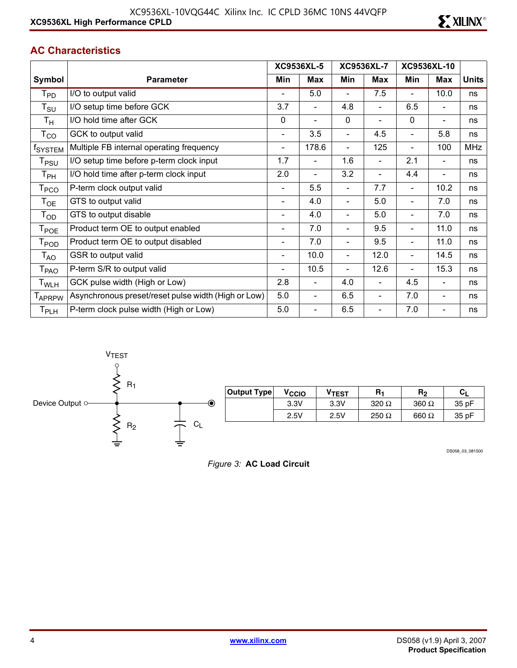#### **AC Characteristics**

|                             |                                                     |                              | XC9536XL-5               |                              | XC9536XL-7                   | XC9536XL-10              |                          |              |
|-----------------------------|-----------------------------------------------------|------------------------------|--------------------------|------------------------------|------------------------------|--------------------------|--------------------------|--------------|
| Symbol                      | <b>Parameter</b>                                    | Min                          | Max                      | Min                          | Max                          | Min                      | <b>Max</b>               | <b>Units</b> |
| ${\mathsf T}_{\mathsf{PD}}$ | I/O to output valid                                 | $\blacksquare$               | 5.0                      | $\overline{\phantom{0}}$     | 7.5                          | $\overline{\phantom{a}}$ | 10.0                     | ns           |
| $\mathsf{T}_{\mathsf{SU}}$  | I/O setup time before GCK                           | 3.7                          | $\overline{\phantom{a}}$ | 4.8                          | $\qquad \qquad \blacksquare$ | 6.5                      | $\blacksquare$           | ns           |
| Tн                          | I/O hold time after GCK                             | $\mathbf 0$                  |                          | $\mathbf 0$                  | $\overline{\phantom{0}}$     | 0                        | $\overline{\phantom{a}}$ | ns           |
| $\mathsf{T}_{\mathsf{CO}}$  | GCK to output valid                                 | $\overline{\phantom{a}}$     | 3.5                      | $\overline{\phantom{0}}$     | 4.5                          | $\blacksquare$           | 5.8                      | ns           |
| f <sub>SYSTEM</sub>         | Multiple FB internal operating frequency            | Ξ.                           | 178.6                    | $\overline{\phantom{0}}$     | 125                          | $\blacksquare$           | 100                      | <b>MHz</b>   |
| $T_{PSU}$                   | I/O setup time before p-term clock input            | 1.7                          |                          | 1.6                          | $\overline{\phantom{0}}$     | 2.1                      |                          | ns           |
| $T_{PH}$                    | I/O hold time after p-term clock input              | 2.0                          |                          | 3.2                          | $\overline{\phantom{0}}$     | 4.4                      | $\blacksquare$           | ns           |
| T <sub>PCO</sub>            | P-term clock output valid                           | $\qquad \qquad \blacksquare$ | 5.5                      |                              | 7.7                          | $\overline{\phantom{a}}$ | 10.2                     | ns           |
| $T_{OE}$                    | GTS to output valid                                 | $\overline{\phantom{0}}$     | 4.0                      | $\overline{\phantom{0}}$     | 5.0                          | $\blacksquare$           | 7.0                      | ns           |
| $T_{OD}$                    | GTS to output disable                               | -                            | 4.0                      | $\overline{\phantom{0}}$     | 5.0                          | $\blacksquare$           | 7.0                      | ns           |
| $T_{\mathsf{POE}}$          | Product term OE to output enabled                   | $\qquad \qquad \blacksquare$ | 7.0                      | $\qquad \qquad \blacksquare$ | 9.5                          | $\overline{\phantom{a}}$ | 11.0                     | ns           |
| $T_{\mathsf{POD}}$          | Product term OE to output disabled                  | ۰                            | 7.0                      | $\overline{\phantom{0}}$     | 9.5                          | $\blacksquare$           | 11.0                     | ns           |
| $T_{AO}$                    | GSR to output valid                                 | $\overline{\phantom{0}}$     | 10.0                     | $\overline{\phantom{0}}$     | 12.0                         | $\overline{\phantom{a}}$ | 14.5                     | ns           |
| $\mathsf{T}_{\mathsf{PAO}}$ | P-term S/R to output valid                          | $\overline{\phantom{a}}$     | 10.5                     | Ξ.                           | 12.6                         | $\overline{\phantom{a}}$ | 15.3                     | ns           |
| $\mathsf{T}_{\mathsf{WLH}}$ | GCK pulse width (High or Low)                       | 2.8                          | $\overline{\phantom{a}}$ | 4.0                          | $\qquad \qquad \blacksquare$ | 4.5                      | $\overline{\phantom{a}}$ | ns           |
| T <sub>APRPW</sub>          | Asynchronous preset/reset pulse width (High or Low) | 5.0                          | $\overline{\phantom{a}}$ | 6.5                          | $\overline{\phantom{0}}$     | 7.0                      | $\overline{\phantom{a}}$ | ns           |
| $\mathsf{T}_{\mathsf{PLH}}$ | P-term clock pulse width (High or Low)              | 5.0                          | $\overline{\phantom{a}}$ | 6.5                          | $\overline{\phantom{0}}$     | 7.0                      | $\overline{\phantom{a}}$ | ns           |



| Output Type | V <sub>CCIO</sub> | $\mathsf{v}_{\texttt{TEST}}$ | R,           | R2           | Сı    |  |
|-------------|-------------------|------------------------------|--------------|--------------|-------|--|
|             | 3.3V              | 3.3V                         | 320 $\Omega$ | 360 $\Omega$ | 35 pF |  |
|             | 2.5V              | 2.5V                         | 250 $\Omega$ | 660 $\Omega$ | 35 pF |  |

*Figure 3:* **AC Load Circuit**

DS058\_03\_081500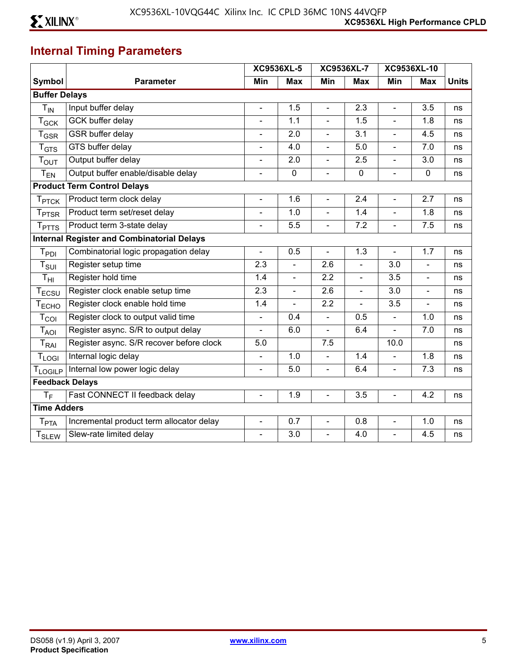## **Internal Timing Parameters**

|                              |                                                   |                   | <b>XC9536XL-5</b>   | XC9536XL-7          |                | XC9536XL-10              |                          |              |
|------------------------------|---------------------------------------------------|-------------------|---------------------|---------------------|----------------|--------------------------|--------------------------|--------------|
| <b>Symbol</b>                | <b>Parameter</b>                                  | Min               | <b>Max</b>          | Min                 | <b>Max</b>     | Min                      | <b>Max</b>               | <b>Units</b> |
| <b>Buffer Delays</b>         |                                                   |                   |                     |                     |                |                          |                          |              |
| $T_{IN}$                     | Input buffer delay                                | $\blacksquare$    | 1.5                 | $\bar{\phantom{a}}$ | 2.3            | $\blacksquare$           | 3.5                      | ns           |
| $T_{GCK}$                    | GCK buffer delay                                  | $\blacksquare$    | 1.1                 | $\blacksquare$      | 1.5            | $\blacksquare$           | 1.8                      | ns           |
| $T_{\text{GSR}}$             | GSR buffer delay                                  | ä,                | 2.0                 | $\blacksquare$      | 3.1            | $\blacksquare$           | 4.5                      | ns           |
| T <sub>GTS</sub>             | GTS buffer delay                                  | $\blacksquare$    | 4.0                 | $\blacksquare$      | 5.0            | $\overline{\phantom{a}}$ | 7.0                      | ns           |
| $T_{\text{OUT}}$             | Output buffer delay                               | $\qquad \qquad -$ | 2.0                 | $\blacksquare$      | 2.5            |                          | 3.0                      | ns           |
| $T_{EN}$                     | Output buffer enable/disable delay                | $\blacksquare$    | $\mathbf 0$         | $\overline{a}$      | 0              | $\blacksquare$           | $\mathbf 0$              | ns           |
|                              | <b>Product Term Control Delays</b>                |                   |                     |                     |                |                          |                          |              |
| <b>T</b> <sub>PTCK</sub>     | Product term clock delay                          | $\overline{a}$    | 1.6                 | $\blacksquare$      | 2.4            | $\blacksquare$           | 2.7                      | ns           |
| $T_{\footnotesize \rm PTSR}$ | Product term set/reset delay                      | $\blacksquare$    | 1.0                 | $\blacksquare$      | 1.4            | $\overline{\phantom{a}}$ | 1.8                      | ns           |
| <b>TPTTS</b>                 | Product term 3-state delay                        | $\blacksquare$    | 5.5                 | $\blacksquare$      | 7.2            | $\blacksquare$           | 7.5                      | ns           |
|                              | <b>Internal Register and Combinatorial Delays</b> |                   |                     |                     |                |                          |                          |              |
| $\mathsf{T}_{\mathsf{PDI}}$  | Combinatorial logic propagation delay             | $\overline{a}$    | 0.5                 | $\blacksquare$      | 1.3            | $\blacksquare$           | 1.7                      | ns           |
| $T_{\rm SUI}$                | Register setup time                               | 2.3               | $\bar{\phantom{a}}$ | 2.6                 | $\overline{a}$ | 3.0                      | $\overline{a}$           | ns           |
| $T_{\rm HI}$                 | Register hold time                                | 1.4               | $\blacksquare$      | 2.2                 | ä,             | 3.5                      | $\blacksquare$           | ns           |
| $T_{ECSU}$                   | Register clock enable setup time                  | 2.3               | $\blacksquare$      | 2.6                 | ÷,             | 3.0                      | $\overline{\phantom{0}}$ | ns           |
| T <sub>ECHO</sub>            | Register clock enable hold time                   | 1.4               | $\sim$              | 2.2                 | L.             | 3.5                      | $\blacksquare$           | ns           |
| $T_{COI}$                    | Register clock to output valid time               | $\blacksquare$    | 0.4                 | $\blacksquare$      | 0.5            | $\blacksquare$           | 1.0                      | ns           |
| $T_{AOI}$                    | Register async. S/R to output delay               | $\overline{a}$    | 6.0                 | $\overline{a}$      | 6.4            |                          | 7.0                      | ns           |
| T <sub>RAI</sub>             | Register async. S/R recover before clock          | 5.0               |                     | 7.5                 |                | 10.0                     |                          | ns           |
| $T_{LOGI}$                   | Internal logic delay                              | $\blacksquare$    | 1.0                 | $\blacksquare$      | 1.4            |                          | 1.8                      | ns           |
| T <sub>LOGILP</sub>          | Internal low power logic delay                    | $\blacksquare$    | 5.0                 | $\blacksquare$      | 6.4            | $\blacksquare$           | 7.3                      | ns           |
|                              | <b>Feedback Delays</b>                            |                   |                     |                     |                |                          |                          |              |
| $T_F$                        | Fast CONNECT II feedback delay                    | $\overline{a}$    | 1.9                 | ä,                  | 3.5            | $\frac{1}{2}$            | 4.2                      | ns           |
| <b>Time Adders</b>           |                                                   |                   |                     |                     |                |                          |                          |              |
| $T_{\sf PTA}$                | Incremental product term allocator delay          | $\blacksquare$    | 0.7                 | $\blacksquare$      | 0.8            | $\blacksquare$           | 1.0                      | ns           |
| <b>T</b> <sub>SLEW</sub>     | Slew-rate limited delay                           | $\blacksquare$    | 3.0                 | $\blacksquare$      | 4.0            | $\blacksquare$           | 4.5                      | ns           |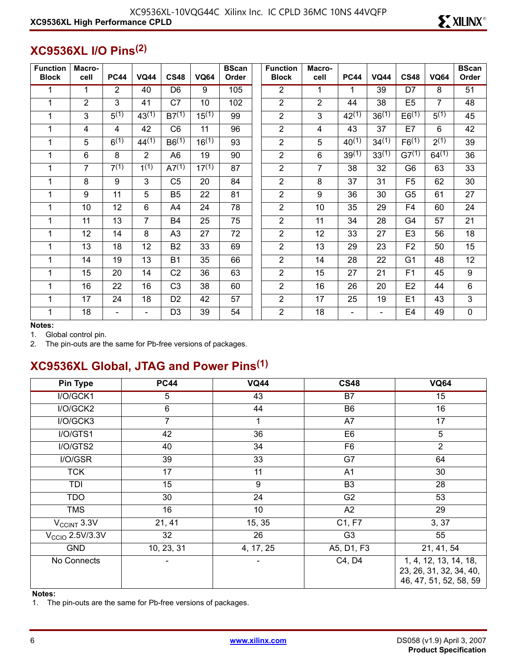## **XC9536XL I/O Pins(2)**

| <b>Function</b><br><b>Block</b> | Macro-<br>cell | <b>PC44</b>              | <b>VQ44</b>              | <b>CS48</b>    | <b>VQ64</b> | <b>BScan</b><br>Order | <b>Function</b><br><b>Block</b> | Macro-<br>cell | <b>PC44</b> | <b>VQ44</b> | <b>CS48</b>    | <b>VQ64</b>    | <b>BScan</b><br>Order |
|---------------------------------|----------------|--------------------------|--------------------------|----------------|-------------|-----------------------|---------------------------------|----------------|-------------|-------------|----------------|----------------|-----------------------|
| 1                               | 1              | $\overline{2}$           | 40                       | D <sub>6</sub> | 9           | 105                   | $\overline{2}$                  | 1              | 1           | 39          | D7             | 8              | 51                    |
| 1                               | $\overline{2}$ | 3                        | 41                       | C <sub>7</sub> | 10          | 102                   | $\overline{2}$                  | $\overline{2}$ | 44          | 38          | E <sub>5</sub> | $\overline{7}$ | 48                    |
| 1                               | 3              | 5(1)                     | $43^{(1)}$               | $B7^{(1)}$     | $15^{(1)}$  | 99                    | $\overline{2}$                  | 3              | $42^{(1)}$  | $36^{(1)}$  | $E6^{(1)}$     | 5(1)           | 45                    |
|                                 | 4              | 4                        | 42                       | C <sub>6</sub> | 11          | 96                    | $\overline{2}$                  | 4              | 43          | 37          | E7             | 6              | 42                    |
| 1                               | 5              | 6(1)                     | 44(1)                    | $B6^{(1)}$     | $16^{(1)}$  | 93                    | $\overline{2}$                  | 5              | $40^{(1)}$  | $34^{(1)}$  | $F6^{(1)}$     | $2^{(1)}$      | 39                    |
| 1                               | 6              | 8                        | $\overline{2}$           | A6             | 19          | 90                    | $\overline{2}$                  | 6              | $39^{(1)}$  | $33^{(1)}$  | $G7^{(1)}$     | $64^{(1)}$     | 36                    |
| 1                               | $\overline{7}$ | 7(1)                     | 1(1)                     | $A7^{(1)}$     | $17^{(1)}$  | 87                    | $\overline{2}$                  | $\overline{7}$ | 38          | 32          | G <sub>6</sub> | 63             | 33                    |
| 1                               | 8              | 9                        | 3                        | C <sub>5</sub> | 20          | 84                    | $\overline{2}$                  | 8              | 37          | 31          | F <sub>5</sub> | 62             | 30                    |
| 1                               | 9              | 11                       | 5                        | B <sub>5</sub> | 22          | 81                    | $\overline{2}$                  | 9              | 36          | 30          | G <sub>5</sub> | 61             | 27                    |
| 1                               | 10             | 12                       | 6                        | A4             | 24          | 78                    | $\overline{2}$                  | 10             | 35          | 29          | F4             | 60             | 24                    |
| 1                               | 11             | 13                       | 7                        | <b>B4</b>      | 25          | 75                    | $\overline{2}$                  | 11             | 34          | 28          | G4             | 57             | 21                    |
|                                 | 12             | 14                       | 8                        | A <sub>3</sub> | 27          | 72                    | $\overline{2}$                  | 12             | 33          | 27          | E <sub>3</sub> | 56             | 18                    |
|                                 | 13             | 18                       | 12                       | B <sub>2</sub> | 33          | 69                    | $\overline{2}$                  | 13             | 29          | 23          | F <sub>2</sub> | 50             | 15                    |
| 1                               | 14             | 19                       | 13                       | <b>B1</b>      | 35          | 66                    | $\overline{2}$                  | 14             | 28          | 22          | G <sub>1</sub> | 48             | 12                    |
| 1                               | 15             | 20                       | 14                       | C <sub>2</sub> | 36          | 63                    | $\overline{2}$                  | 15             | 27          | 21          | F <sub>1</sub> | 45             | 9                     |
| 1                               | 16             | 22                       | 16                       | C <sub>3</sub> | 38          | 60                    | $\overline{2}$                  | 16             | 26          | 20          | E <sub>2</sub> | 44             | 6                     |
|                                 | 17             | 24                       | 18                       | D <sub>2</sub> | 42          | 57                    | $\overline{2}$                  | 17             | 25          | 19          | E <sub>1</sub> | 43             | 3                     |
| 1                               | 18             | $\overline{\phantom{a}}$ | $\overline{\phantom{a}}$ | D <sub>3</sub> | 39          | 54                    | $\overline{2}$                  | 18             | -           | -           | E4             | 49             | $\pmb{0}$             |

#### **Notes:**

1. Global control pin.

2. The pin-outs are the same for Pb-free versions of packages.

#### **XC9536XL Global, JTAG and Power Pins(1)**

| <b>Pin Type</b>   | <b>PC44</b>    | <b>VQ44</b> | <b>CS48</b>    | <b>VQ64</b>                                                                |
|-------------------|----------------|-------------|----------------|----------------------------------------------------------------------------|
| I/O/GCK1          | $\overline{5}$ | 43          | B7             | 15                                                                         |
| I/O/GCK2          | 6              | 44          | B <sub>6</sub> | 16                                                                         |
| I/O/GCK3          | $\overline{7}$ | 1           | A7             | 17                                                                         |
| I/O/GTS1          | 42             | 36          | E <sub>6</sub> | 5                                                                          |
| I/O/GTS2          | 40             | 34          | F <sub>6</sub> | $\overline{2}$                                                             |
| I/O/GSR           | 39             | 33          | G7             | 64                                                                         |
| <b>TCK</b>        | 17             | 11          | A1             | 30                                                                         |
| TDI               | 15             | 9           | B <sub>3</sub> | 28                                                                         |
| <b>TDO</b>        | 30             | 24          | G <sub>2</sub> | 53                                                                         |
| <b>TMS</b>        | 16             | 10          | A <sub>2</sub> | 29                                                                         |
| $V_{CClNT}$ 3.3V  | 21, 41         | 15, 35      | C1, F7         | 3, 37                                                                      |
| $VCCIO$ 2.5V/3.3V | 32             | 26          | G <sub>3</sub> | 55                                                                         |
| <b>GND</b>        | 10, 23, 31     | 4, 17, 25   | A5, D1, F3     | 21, 41, 54                                                                 |
| No Connects       |                |             | C4, D4         | 1, 4, 12, 13, 14, 18,<br>23, 26, 31, 32, 34, 40,<br>46, 47, 51, 52, 58, 59 |

#### **Notes:**

1. The pin-outs are the same for Pb-free versions of packages.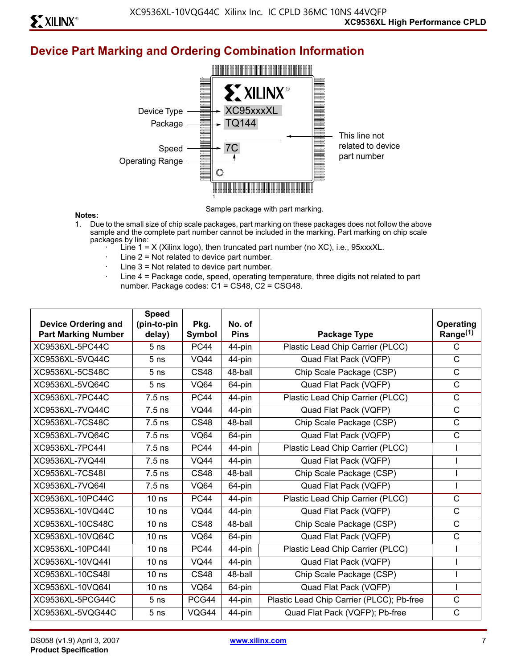### **Device Part Marking and Ordering Combination Information**



#### **Notes:**

Sample package with part marking.

- 1. Due to the small size of chip scale packages, part marking on these packages does not follow the above sample and the complete part number cannot be included in the marking. Part marking on chip scale packages by line:
	- Line  $1 = X$  (Xilinx logo), then truncated part number (no XC), i.e., 95xxxXL.
		- Line  $2$  = Not related to device part number.
		- · Line 3 = Not related to device part number.
		- $\cdot$  Line 4 = Package code, speed, operating temperature, three digits not related to part number. Package codes: C1 = CS48, C2 = CSG48.

| <b>Device Ordering and</b><br><b>Part Marking Number</b> | <b>Speed</b><br>(pin-to-pin<br>delay) | Pkg.<br>Symbol | No. of<br><b>Pins</b> | Package Type                              | <b>Operating</b><br>Range <sup>(1)</sup> |
|----------------------------------------------------------|---------------------------------------|----------------|-----------------------|-------------------------------------------|------------------------------------------|
| XC9536XL-5PC44C                                          | 5 <sub>ns</sub>                       | <b>PC44</b>    | 44-pin                | Plastic Lead Chip Carrier (PLCC)          | C                                        |
| XC9536XL-5VQ44C                                          | 5 <sub>ns</sub>                       | <b>VQ44</b>    | 44-pin                | Quad Flat Pack (VQFP)                     | $\mathsf{C}$                             |
| XC9536XL-5CS48C                                          | 5 <sub>ns</sub>                       | <b>CS48</b>    | 48-ball               | Chip Scale Package (CSP)                  | C                                        |
| XC9536XL-5VQ64C                                          | 5 <sub>ns</sub>                       | <b>VQ64</b>    | 64-pin                | Quad Flat Pack (VQFP)                     | $\mathsf{C}$                             |
| XC9536XL-7PC44C                                          | $7.5$ ns                              | <b>PC44</b>    | 44-pin                | Plastic Lead Chip Carrier (PLCC)          | $\mathsf{C}$                             |
| XC9536XL-7VQ44C                                          | $7.5$ ns                              | <b>VQ44</b>    | 44-pin                | Quad Flat Pack (VQFP)                     | $\mathsf C$                              |
| XC9536XL-7CS48C                                          | $7.5$ ns                              | <b>CS48</b>    | 48-ball               | Chip Scale Package (CSP)                  | $\mathsf{C}$                             |
| XC9536XL-7VQ64C                                          | $7.5$ ns                              | <b>VQ64</b>    | 64-pin                | Quad Flat Pack (VQFP)                     | $\mathsf{C}$                             |
| XC9536XL-7PC44I                                          | $7.5$ ns                              | <b>PC44</b>    | 44-pin                | Plastic Lead Chip Carrier (PLCC)          |                                          |
| XC9536XL-7VQ44I                                          | $7.5$ ns                              | <b>VQ44</b>    | 44-pin                | Quad Flat Pack (VQFP)                     |                                          |
| XC9536XL-7CS48I                                          | $7.5$ ns                              | <b>CS48</b>    | 48-ball               | Chip Scale Package (CSP)                  |                                          |
| XC9536XL-7VQ64I                                          | $7.5$ ns                              | <b>VQ64</b>    | 64-pin                | Quad Flat Pack (VQFP)                     |                                          |
| XC9536XL-10PC44C                                         | 10 <sub>ns</sub>                      | <b>PC44</b>    | 44-pin                | Plastic Lead Chip Carrier (PLCC)          | C                                        |
| XC9536XL-10VQ44C                                         | 10 <sub>ns</sub>                      | <b>VQ44</b>    | 44-pin                | Quad Flat Pack (VQFP)                     | $\mathsf{C}$                             |
| XC9536XL-10CS48C                                         | 10 <sub>ns</sub>                      | <b>CS48</b>    | 48-ball               | Chip Scale Package (CSP)                  | С                                        |
| XC9536XL-10VQ64C                                         | 10 <sub>ns</sub>                      | <b>VQ64</b>    | 64-pin                | Quad Flat Pack (VQFP)                     | C                                        |
| XC9536XL-10PC44I                                         | 10 <sub>ns</sub>                      | <b>PC44</b>    | 44-pin                | Plastic Lead Chip Carrier (PLCC)          |                                          |
| XC9536XL-10VQ44I                                         | 10 <sub>ns</sub>                      | <b>VQ44</b>    | 44-pin                | Quad Flat Pack (VQFP)                     |                                          |
| XC9536XL-10CS48I                                         | 10 <sub>ns</sub>                      | <b>CS48</b>    | 48-ball               | Chip Scale Package (CSP)                  |                                          |
| XC9536XL-10VQ64I                                         | 10 <sub>ns</sub>                      | <b>VQ64</b>    | 64-pin                | Quad Flat Pack (VQFP)                     |                                          |
| XC9536XL-5PCG44C                                         | 5 <sub>ns</sub>                       | PCG44          | 44-pin                | Plastic Lead Chip Carrier (PLCC); Pb-free | $\mathsf{C}$                             |
| XC9536XL-5VQG44C                                         | 5 <sub>ns</sub>                       | VQG44          | 44-pin                | Quad Flat Pack (VQFP); Pb-free            | $\mathsf{C}$                             |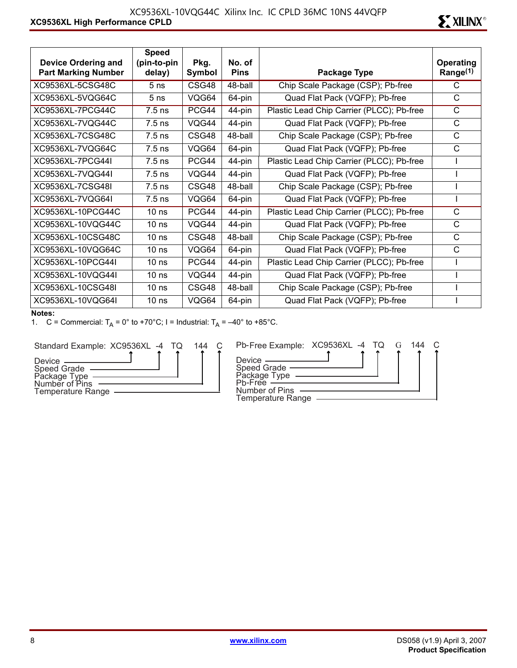| <b>Device Ordering and</b><br><b>Part Marking Number</b> | <b>Speed</b><br>(pin-to-pin<br>delay) | Pkg.<br>Symbol | No. of<br><b>Pins</b> | Package Type                              | Operating<br>Range $(1)$ |
|----------------------------------------------------------|---------------------------------------|----------------|-----------------------|-------------------------------------------|--------------------------|
| XC9536XL-5CSG48C                                         | 5 <sub>ns</sub>                       | CSG48          | 48-ball               | Chip Scale Package (CSP); Pb-free         | C                        |
| XC9536XL-5VQG64C                                         | 5 <sub>ns</sub>                       | VQG64          | 64-pin                | Quad Flat Pack (VQFP); Pb-free            | C                        |
| XC9536XL-7PCG44C                                         | $7.5$ ns                              | PCG44          | 44-pin                | Plastic Lead Chip Carrier (PLCC); Pb-free | C                        |
| XC9536XL-7VQG44C                                         | $7.5$ ns                              | VQG44          | 44-pin                | Quad Flat Pack (VQFP); Pb-free            | C                        |
| XC9536XL-7CSG48C                                         | $7.5$ ns                              | CSG48          | 48-ball               | Chip Scale Package (CSP); Pb-free         | С                        |
| XC9536XL-7VQG64C                                         | $7.5$ ns                              | VQG64          | 64-pin                | Quad Flat Pack (VQFP); Pb-free            | С                        |
| XC9536XL-7PCG44I                                         | $7.5$ ns                              | PCG44          | 44-pin                | Plastic Lead Chip Carrier (PLCC); Pb-free |                          |
| XC9536XL-7VQG44I                                         | $7.5$ ns                              | VQG44          | 44-pin                | Quad Flat Pack (VQFP); Pb-free            |                          |
| XC9536XL-7CSG48I                                         | $7.5$ ns                              | CSG48          | 48-ball               | Chip Scale Package (CSP); Pb-free         |                          |
| XC9536XL-7VQG64I                                         | $7.5$ ns                              | VQG64          | 64-pin                | Quad Flat Pack (VQFP); Pb-free            |                          |
| XC9536XL-10PCG44C                                        | 10 <sub>ns</sub>                      | PCG44          | 44-pin                | Plastic Lead Chip Carrier (PLCC); Pb-free | C                        |
| XC9536XL-10VQG44C                                        | 10 <sub>ns</sub>                      | VQG44          | 44-pin                | Quad Flat Pack (VQFP); Pb-free            | C                        |
| XC9536XL-10CSG48C                                        | 10 <sub>ns</sub>                      | CSG48          | 48-ball               | Chip Scale Package (CSP); Pb-free         | C                        |
| XC9536XL-10VQG64C                                        | 10 <sub>ns</sub>                      | VQG64          | 64-pin                | Quad Flat Pack (VQFP); Pb-free            | C                        |
| XC9536XL-10PCG44I                                        | 10 <sub>ns</sub>                      | PCG44          | 44-pin                | Plastic Lead Chip Carrier (PLCC); Pb-free |                          |
| XC9536XL-10VQG44I                                        | 10 <sub>ns</sub>                      | VQG44          | 44-pin                | Quad Flat Pack (VQFP); Pb-free            |                          |
| XC9536XL-10CSG48I                                        | 10 <sub>ns</sub>                      | CSG48          | 48-ball               | Chip Scale Package (CSP); Pb-free         |                          |
| XC9536XL-10VQG64I                                        | 10 <sub>ns</sub>                      | VQG64          | 64-pin                | Quad Flat Pack (VQFP); Pb-free            |                          |

#### **Notes:**

1. C = Commercial:  $T_A = 0^\circ$  to +70°C; I = Industrial:  $T_A = -40^\circ$  to +85°C.

| Standard Example: XC9536XL -4                             | 144 |
|-----------------------------------------------------------|-----|
| Device -<br>Speed Grade<br>Package Type<br>Number of Pins |     |
| <b>Temperature Range</b>                                  |     |

| -4 | 144 | Pb-Free Example: XC9536XL -4 TQ                                                                                                                                                  |  | 144 |  |
|----|-----|----------------------------------------------------------------------------------------------------------------------------------------------------------------------------------|--|-----|--|
|    |     | Device ——————<br>Speed Grade - The Changes of Speed Grade - The Changes of Speed Grade - The Changes of Speed Speed Speed Speed<br>Package Type ——————<br>$Pb$ -Free $\_\_\_\_\$ |  |     |  |
|    |     | Number of Pins ——                                                                                                                                                                |  |     |  |
|    |     | Temperature Range                                                                                                                                                                |  |     |  |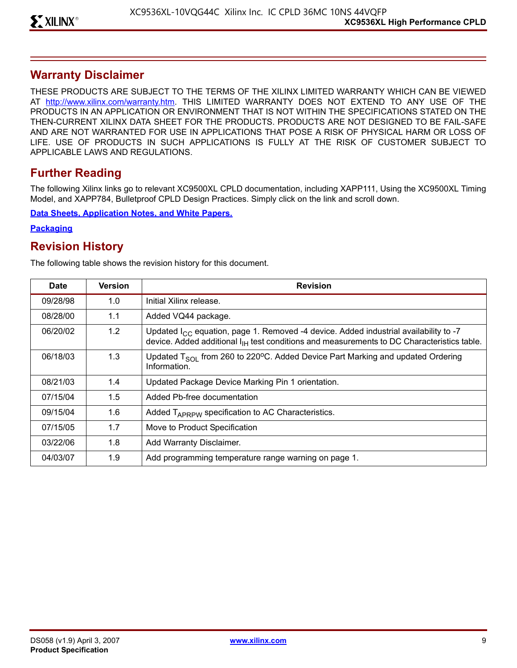#### **Warranty Disclaimer**

THESE PRODUCTS ARE SUBJECT TO THE TERMS OF THE XILINX LIMITED WARRANTY WHICH CAN BE VIEWED AT [http://www.xilinx.com/warranty.htm.](http://www.xilinx.com/warranty.htm) THIS LIMITED WARRANTY DOES NOT EXTEND TO ANY USE OF THE PRODUCTS IN AN APPLICATION OR ENVIRONMENT THAT IS NOT WITHIN THE SPECIFICATIONS STATED ON THE THEN-CURRENT XILINX DATA SHEET FOR THE PRODUCTS. PRODUCTS ARE NOT DESIGNED TO BE FAIL-SAFE AND ARE NOT WARRANTED FOR USE IN APPLICATIONS THAT POSE A RISK OF PHYSICAL HARM OR LOSS OF LIFE. USE OF PRODUCTS IN SUCH APPLICATIONS IS FULLY AT THE RISK OF CUSTOMER SUBJECT TO APPLICABLE LAWS AND REGULATIONS.

#### **Further Reading**

The following Xilinx links go to relevant XC9500XL CPLD documentation, including XAPP111, Using the XC9500XL Timing Model, and XAPP784, Bulletproof CPLD Design Practices. Simply click on the link and scroll down.

**[Data Sheets, Application Notes, and White Papers.](http://www.xilinx.com/xlnx/xweb/xil_publications_display.jsp?sGlobalNavPick=&sSecondaryNavPick=&category=-19216&iLanguageID=1)**

#### **[Packaging](http://www.xilinx.com/xlnx/xweb/xil_publications_index.jsp?sGlobalNavPick=&sSecondaryNavPick=&category=-19166&iLanguageID=1)**

#### **Revision History**

The following table shows the revision history for this document.

| <b>Date</b> | <b>Version</b> | <b>Revision</b>                                                                                                                                                                                 |
|-------------|----------------|-------------------------------------------------------------------------------------------------------------------------------------------------------------------------------------------------|
| 09/28/98    | 1.0            | Initial Xilinx release.                                                                                                                                                                         |
| 08/28/00    | 1.1            | Added VQ44 package.                                                                                                                                                                             |
| 06/20/02    | 1.2            | Updated $I_{\rm CC}$ equation, page 1. Removed -4 device. Added industrial availability to -7<br>device. Added additional $I_{H}$ test conditions and measurements to DC Characteristics table. |
| 06/18/03    | 1.3            | Updated $T_{\text{SOI}}$ from 260 to 220 °C. Added Device Part Marking and updated Ordering<br>Information.                                                                                     |
| 08/21/03    | 1.4            | Updated Package Device Marking Pin 1 orientation.                                                                                                                                               |
| 07/15/04    | 1.5            | Added Pb-free documentation                                                                                                                                                                     |
| 09/15/04    | 1.6            | Added T <sub>APRPW</sub> specification to AC Characteristics.                                                                                                                                   |
| 07/15/05    | 1.7            | Move to Product Specification                                                                                                                                                                   |
| 03/22/06    | 1.8            | Add Warranty Disclaimer.                                                                                                                                                                        |
| 04/03/07    | 1.9            | Add programming temperature range warning on page 1.                                                                                                                                            |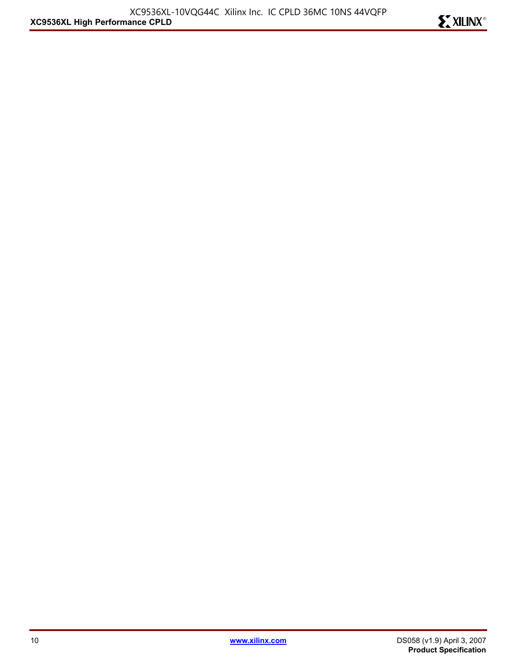